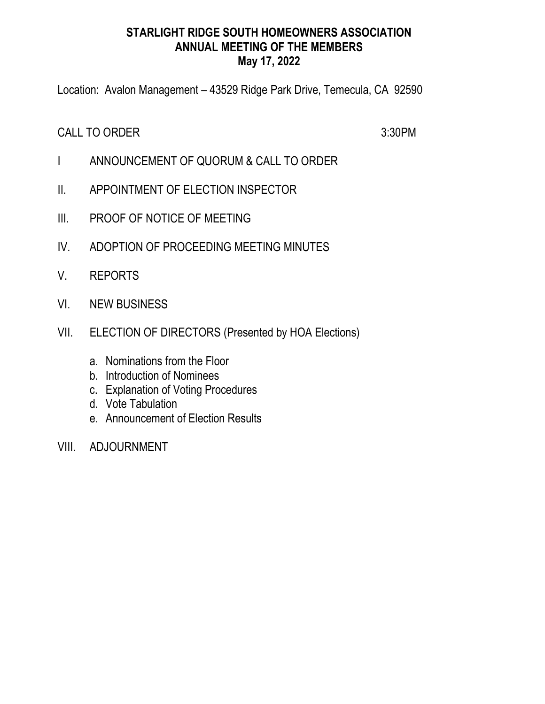# STARLIGHT RIDGE SOUTH HOMEOWNERS ASSOCIATION ANNUAL MEETING OF THE MEMBERS May 17, 2022

Location: Avalon Management – 43529 Ridge Park Drive, Temecula, CA 92590

CALL TO ORDER 3:30PM

- I ANNOUNCEMENT OF QUORUM & CALL TO ORDER
- II. APPOINTMENT OF ELECTION INSPECTOR
- III. PROOF OF NOTICE OF MEETING
- IV. ADOPTION OF PROCEEDING MEETING MINUTES
- V. REPORTS
- VI. NEW BUSINESS
- VII. ELECTION OF DIRECTORS (Presented by HOA Elections)
	- a. Nominations from the Floor
	- b. Introduction of Nominees
	- c. Explanation of Voting Procedures
	- d. Vote Tabulation
	- e. Announcement of Election Results
- VIII. ADJOURNMENT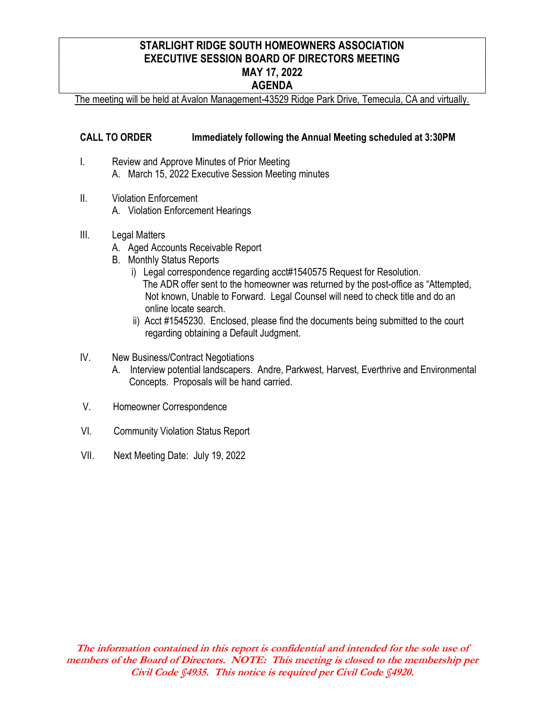# STARLIGHT RIDGE SOUTH HOMEOWNERS ASSOCIATION EXECUTIVE SESSION BOARD OF DIRECTORS MEETING MAY 17, 2022 AGENDA

The meeting will be held at Avalon Management-43529 Ridge Park Drive, Temecula, CA and virtually.

### CALL TO ORDER Immediately following the Annual Meeting scheduled at 3:30PM

- I. Review and Approve Minutes of Prior Meeting A. March 15, 2022 Executive Session Meeting minutes
- II. Violation Enforcement
	- A. Violation Enforcement Hearings
- III. Legal Matters
	- A. Aged Accounts Receivable Report
	- B. Monthly Status Reports
		- i) Legal correspondence regarding acct#1540575 Request for Resolution. The ADR offer sent to the homeowner was returned by the post-office as "Attempted, Not known, Unable to Forward. Legal Counsel will need to check title and do an online locate search.
		- ii) Acct #1545230. Enclosed, please find the documents being submitted to the court regarding obtaining a Default Judgment.
- IV. New Business/Contract Negotiations
	- A. Interview potential landscapers. Andre, Parkwest, Harvest, Everthrive and Environmental Concepts. Proposals will be hand carried.
- V. Homeowner Correspondence
- VI. Community Violation Status Report
- VII. Next Meeting Date: July 19, 2022